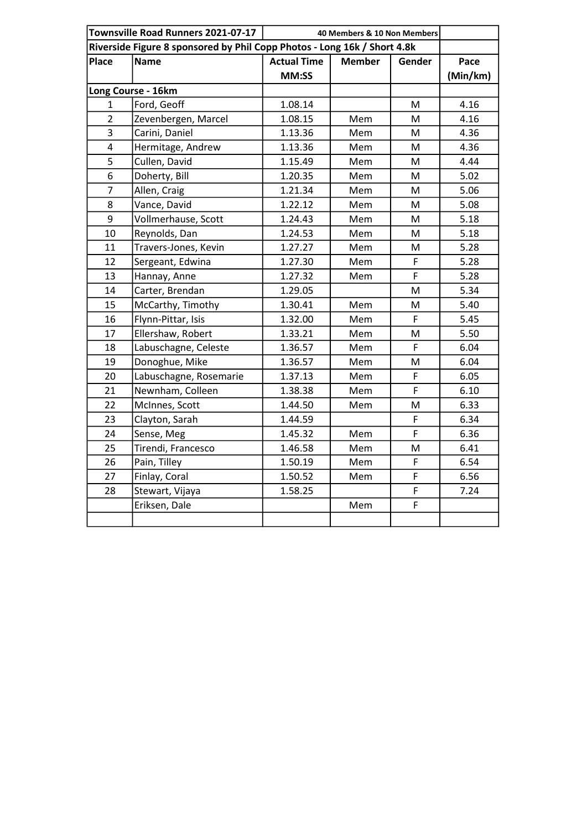| Townsville Road Runners 2021-07-17 |                        | 40 Members & 10 Non Members                                              |               |                                                                                       |          |
|------------------------------------|------------------------|--------------------------------------------------------------------------|---------------|---------------------------------------------------------------------------------------|----------|
|                                    |                        | Riverside Figure 8 sponsored by Phil Copp Photos - Long 16k / Short 4.8k |               |                                                                                       |          |
| Place                              | <b>Name</b>            | <b>Actual Time</b>                                                       | <b>Member</b> | Gender                                                                                | Pace     |
|                                    |                        | MM:SS                                                                    |               |                                                                                       | (Min/km) |
| Long Course - 16km                 |                        |                                                                          |               |                                                                                       |          |
| 1                                  | Ford, Geoff            | 1.08.14                                                                  |               | M                                                                                     | 4.16     |
| $\overline{2}$                     | Zevenbergen, Marcel    | 1.08.15                                                                  | Mem           | M                                                                                     | 4.16     |
| $\mathsf{3}$                       | Carini, Daniel         | 1.13.36                                                                  | Mem           | M                                                                                     | 4.36     |
| $\pmb{4}$                          | Hermitage, Andrew      | 1.13.36                                                                  | Mem           | M                                                                                     | 4.36     |
| 5                                  | Cullen, David          | 1.15.49                                                                  | Mem           | $\mathsf{M}% _{T}=\mathsf{M}_{T}\!\left( a,b\right) ,\ \mathsf{M}_{T}=\mathsf{M}_{T}$ | 4.44     |
| 6                                  | Doherty, Bill          | 1.20.35                                                                  | Mem           | M                                                                                     | 5.02     |
| $\overline{7}$                     | Allen, Craig           | 1.21.34                                                                  | Mem           | M                                                                                     | 5.06     |
| 8                                  | Vance, David           | 1.22.12                                                                  | Mem           | M                                                                                     | 5.08     |
| 9                                  | Vollmerhause, Scott    | 1.24.43                                                                  | Mem           | M                                                                                     | 5.18     |
| 10                                 | Reynolds, Dan          | 1.24.53                                                                  | Mem           | M                                                                                     | 5.18     |
| 11                                 | Travers-Jones, Kevin   | 1.27.27                                                                  | Mem           | M                                                                                     | 5.28     |
| 12                                 | Sergeant, Edwina       | 1.27.30                                                                  | Mem           | F                                                                                     | 5.28     |
| 13                                 | Hannay, Anne           | 1.27.32                                                                  | Mem           | F                                                                                     | 5.28     |
| 14                                 | Carter, Brendan        | 1.29.05                                                                  |               | M                                                                                     | 5.34     |
| 15                                 | McCarthy, Timothy      | 1.30.41                                                                  | Mem           | M                                                                                     | 5.40     |
| 16                                 | Flynn-Pittar, Isis     | 1.32.00                                                                  | Mem           | $\overline{F}$                                                                        | 5.45     |
| 17                                 | Ellershaw, Robert      | 1.33.21                                                                  | Mem           | M                                                                                     | 5.50     |
| 18                                 | Labuschagne, Celeste   | 1.36.57                                                                  | Mem           | F                                                                                     | 6.04     |
| 19                                 | Donoghue, Mike         | 1.36.57                                                                  | Mem           | M                                                                                     | 6.04     |
| 20                                 | Labuschagne, Rosemarie | 1.37.13                                                                  | Mem           | F                                                                                     | 6.05     |
| 21                                 | Newnham, Colleen       | 1.38.38                                                                  | Mem           | F                                                                                     | 6.10     |
| 22                                 | McInnes, Scott         | 1.44.50                                                                  | Mem           | M                                                                                     | 6.33     |
| 23                                 | Clayton, Sarah         | 1.44.59                                                                  |               | F                                                                                     | 6.34     |
| 24                                 | Sense, Meg             | 1.45.32                                                                  | Mem           | F                                                                                     | 6.36     |
| 25                                 | Tirendi, Francesco     | 1.46.58                                                                  | Mem           | M                                                                                     | 6.41     |
| 26                                 | Pain, Tilley           | 1.50.19                                                                  | Mem           | F                                                                                     | 6.54     |
| 27                                 | Finlay, Coral          | 1.50.52                                                                  | Mem           | F                                                                                     | 6.56     |
| 28                                 | Stewart, Vijaya        | 1.58.25                                                                  |               | F                                                                                     | 7.24     |
|                                    | Eriksen, Dale          |                                                                          | Mem           | F                                                                                     |          |
|                                    |                        |                                                                          |               |                                                                                       |          |